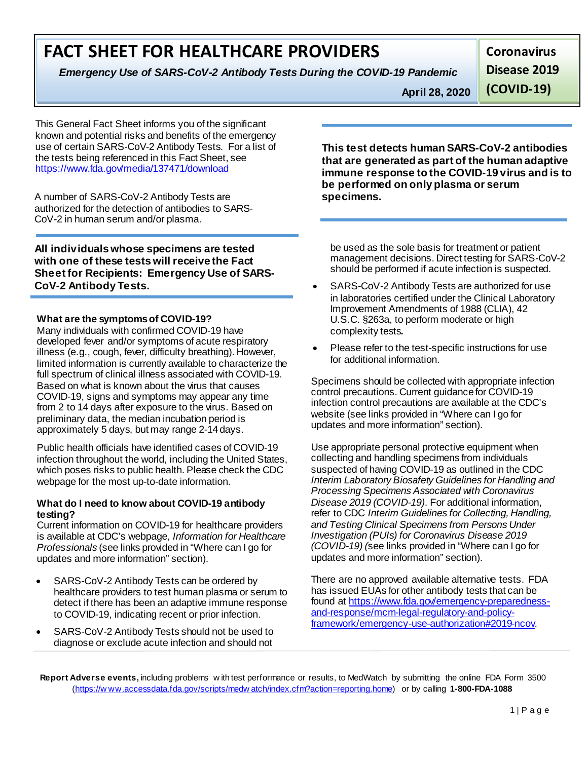## **FACT SHEET FOR HEALTHCARE PROVIDERS**

*Emergency Use of SARS-CoV-2 Antibody Tests During the COVID-19 Pandemic*

**Coronavirus**

**April 28, 2020** 

**Disease 2019** 

**(COVID-19)**

This General Fact Sheet informs you of the significant known and potential risks and benefits of the emergency use of certain SARS-CoV-2 Antibody Tests. For a list of the tests being referenced in this Fact Sheet, see <https://www.fda.gov/media/137471/download>

A number of SARS-CoV-2 Antibody Tests are authorized for the detection of antibodies to SARS-CoV-2 in human serum and/or plasma.

**All individuals whose specimens are tested with one of these tests will receive the Fact Sheet for Recipients: Emergency Use of SARS-CoV-2 Antibody Tests.**

### **What are the symptoms of COVID-19?**

Many individuals with confirmed COVID-19 have developed fever and/or symptoms of acute respiratory illness (e.g., cough, fever, difficulty breathing). However, limited information is currently available to characterize the full spectrum of clinical illness associated with COVID-19. Based on what is known about the virus that causes COVID-19, signs and symptoms may appear any time from 2 to 14 days after exposure to the virus. Based on preliminary data, the median incubation period is approximately 5 days, but may range 2-14days.

Public health officials have identified cases of COVID-19 infection throughout the world, including the United States, which poses risks to public health. Please check the CDC webpage for the most up-to-date information.

### **What do I need to know about COVID-19 antibody testing?**

Current information on COVID-19 for healthcare providers is available at CDC's webpage, *Information for Healthcare Professionals* (see links provided in "Where can I go for updates and more information" section).

- SARS-CoV-2 Antibody Tests can be ordered by healthcare providers to test human plasma or serum to detect if there has been an adaptive immune response to COVID-19, indicating recent or prior infection.
- SARS-CoV-2 Antibody Tests should not be used to diagnose or exclude acute infection and should not

**This test detects human SARS-CoV-2 antibodies that are generated as part of the human adaptive immune response to the COVID-19 virus and is to be performed on only plasma or serum specimens.** 

be used as the sole basis for treatment or patient management decisions. Direct testing for SARS-CoV-2 should be performed if acute infection is suspected.

- SARS-CoV-2 Antibody Tests are authorized for use in laboratories certified under the Clinical Laboratory Improvement Amendments of 1988 (CLIA), 42 U.S.C. §263a, to perform moderate or high complexity tests*.*
- Please refer to the test-specific instructions for use for additional information.

Specimens should be collected with appropriate infection control precautions. Current guidance for COVID-19 infection control precautions are available at the CDC's website (see links provided in "Where can I go for updates and more information" section).

Use appropriate personal protective equipment when collecting and handling specimens from individuals suspected of having COVID-19 as outlined in the CDC *Interim Laboratory Biosafety Guidelines for Handling and Processing Specimens Associated with Coronavirus Disease 2019 (COVID-19)*. For additional information, refer to CDC *Interim Guidelines for Collecting, Handling, and Testing Clinical Specimens from Persons Under Investigation (PUIs) for Coronavirus Disease 2019 (COVID-19) (*see links provided in "Where can I go for updates and more information" section).

There are no approved available alternative tests. FDA has issued EUAs for other antibody tests that can be found at [https://www.fda.gov/emergency-preparedness](https://www.fda.gov/emergency-preparedness-and-response/mcm-legal-regulatory-and-policy-framework/emergency-use-authorization#2019-ncov)[and-response/mcm-legal-regulatory-and-policy](https://www.fda.gov/emergency-preparedness-and-response/mcm-legal-regulatory-and-policy-framework/emergency-use-authorization#2019-ncov)[framework/emergency-use-authorization#2019-ncov.](https://www.fda.gov/emergency-preparedness-and-response/mcm-legal-regulatory-and-policy-framework/emergency-use-authorization#2019-ncov)

**Report Adverse events,** including problems w ith test performance or results, to MedWatch by submitting the online FDA Form 3500 [\(https://w ww.accessdata.fda.gov/scripts/medw atch/index.cfm?action=reporting.home\) o](https://www.accessdata.fda.gov/scripts/medwatch/index.cfm?action=reporting.home)r by calling **1-800-FDA-1088**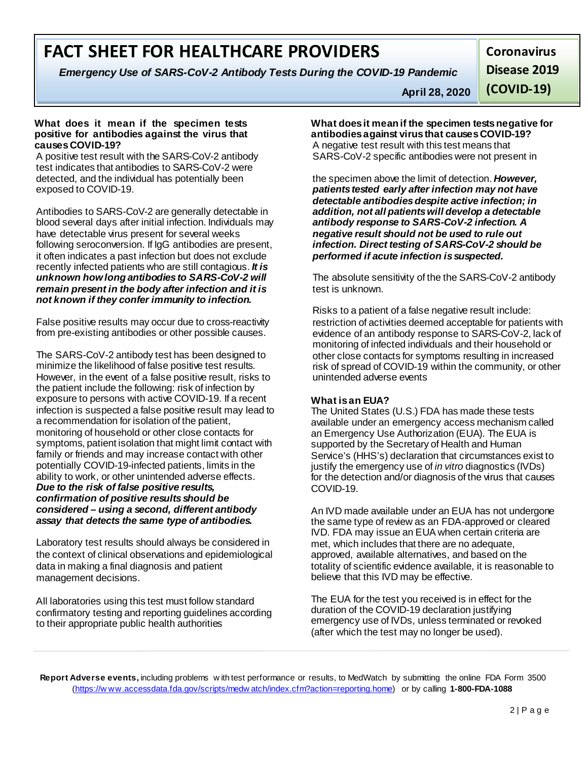# **FACT SHEET FOR HEALTHCARE PROVIDERS**

*Emergency Use of SARS-CoV-2 Antibody Tests During the COVID-19 Pandemic*

**Coronavirus Disease 2019** 

**April 28, 2020** 

**(COVID-19)**

#### **What does it mean if the specimen tests positive for antibodies against the virus that causes COVID-19?**

A positive test result with the SARS-CoV-2 antibody test indicates that antibodies to SARS-CoV-2 were detected, and the individual has potentially been exposed to COVID-19.

Antibodies to SARS-CoV-2 are generally detectable in blood several days after initial infection. Individuals may have detectable virus present for several weeks following seroconversion. If IgG antibodies are present, it often indicates a past infection but does not exclude recently infected patients who are still contagious. *It is unknown how long antibodies to SARS-CoV-2 will remain present in the body after infection and it is not known if they confer immunity to infection.*

False positive results may occur due to cross-reactivity from pre-existing antibodies or other possible causes.

The SARS-CoV-2 antibody test has been designed to minimize the likelihood of false positive test results. However, in the event of a false positive result, risks to the patient include the following: risk of infection by exposure to persons with active COVID-19. If a recent infection is suspected a false positive result may lead to a recommendation for isolation of the patient, monitoring of household or other close contacts for symptoms, patient isolation that might limit contact with family or friends and may increase contact with other potentially COVID-19-infected patients, limits in the ability to work, or other unintended adverse effects. *Due to the risk of false positive results, confirmation of positive results should be considered – using a second, different antibody assay that detects the same type of antibodies.*

Laboratory test results should always be considered in the context of clinical observations and epidemiological data in making a final diagnosis and patient management decisions.

All laboratories using this test must follow standard confirmatory testing and reporting guidelines according to their appropriate public health authorities

**What does it mean if the specimen tests negative for antibodies against virus that causes COVID-19?** A negative test result with this test means that SARS-CoV-2 specific antibodies were not present in

the specimen above the limit of detection. *However, patients tested early after infection may not have detectable antibodies despite active infection; in addition, not all patients will develop a detectable antibody response to SARS-CoV-2 infection. A negative result should not be used to rule out infection. Direct testing of SARS-CoV-2 should be performed if acute infection is suspected.*

The absolute sensitivity of the the SARS-CoV-2 antibody test is unknown.

Risks to a patient of a false negative result include: restriction of activities deemed acceptable for patients with evidence of an antibody response to SARS-CoV-2, lack of monitoring of infected individuals and their household or other close contacts for symptoms resulting in increased risk of spread of COVID-19 within the community, or other unintended adverse events

### **What is an EUA?**

The United States (U.S.) FDA has made these tests available under an emergency access mechanism called an Emergency Use Authorization (EUA). The EUA is supported by the Secretary of Health and Human Service's (HHS's) declaration that circumstances exist to justify the emergency use of *in vitro* diagnostics (IVDs) for the detection and/or diagnosis of the virus that causes COVID-19.

An IVD made available under an EUA has not undergone the same type of review as an FDA-approved or cleared IVD. FDA may issue an EUA when certain criteria are met, which includes that there are no adequate, approved, available alternatives, and based on the totality of scientific evidence available, it is reasonable to believe that this IVD may be effective.

The EUA for the test you received is in effect for the duration of the COVID-19 declaration justifying emergency use of IVDs, unless terminated or revoked (after which the test may no longer be used).

**Report Adverse events,** including problems w ith test performance or results, to MedWatch by submitting the online FDA Form 3500 [\(https://w ww.accessdata.fda.gov/scripts/medw atch/index.cfm?action=reporting.home\) o](https://www.accessdata.fda.gov/scripts/medwatch/index.cfm?action=reporting.home)r by calling **1-800-FDA-1088**